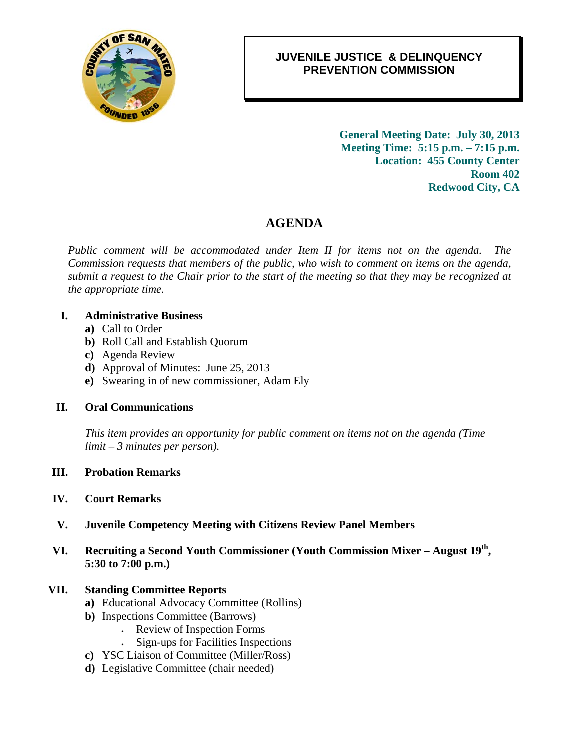

## 0B**JUVENILE JUSTICE & DELINQUENCY PREVENTION COMMISSION**

2B**General Meeting Date: July 30, 2013 Meeting Time: 5:15 p.m. – 7:15 p.m. Location: 455 County Center Room 402 Redwood City, CA** 

# 4B**AGENDA**

*Public comment will be accommodated under Item II for items not on the agenda. The Commission requests that members of the public, who wish to comment on items on the agenda, submit a request to the Chair prior to the start of the meeting so that they may be recognized at the appropriate time.* 

#### **I. Administrative Business**

- **a)** Call to Order
- **b)** Roll Call and Establish Quorum
- **c)** Agenda Review
- **d)** Approval of Minutes: June 25, 2013
- **e)** Swearing in of new commissioner, Adam Ely

#### **II. Oral Communications**

*This item provides an opportunity for public comment on items not on the agenda (Time limit – 3 minutes per person).* 

**III. Probation Remarks**

#### **IV. Court Remarks**

- **V. Juvenile Competency Meeting with Citizens Review Panel Members**
- **VI. Recruiting a Second Youth Commissioner (Youth Commission Mixer August 19th, 5:30 to 7:00 p.m.)**

#### **VII. Standing Committee Reports**

- **a)** Educational Advocacy Committee (Rollins)
- **b)** Inspections Committee (Barrows)
	- . Review of Inspection Forms
	- . Sign-ups for Facilities Inspections
- **c)** YSC Liaison of Committee (Miller/Ross)
- **d)** Legislative Committee (chair needed)